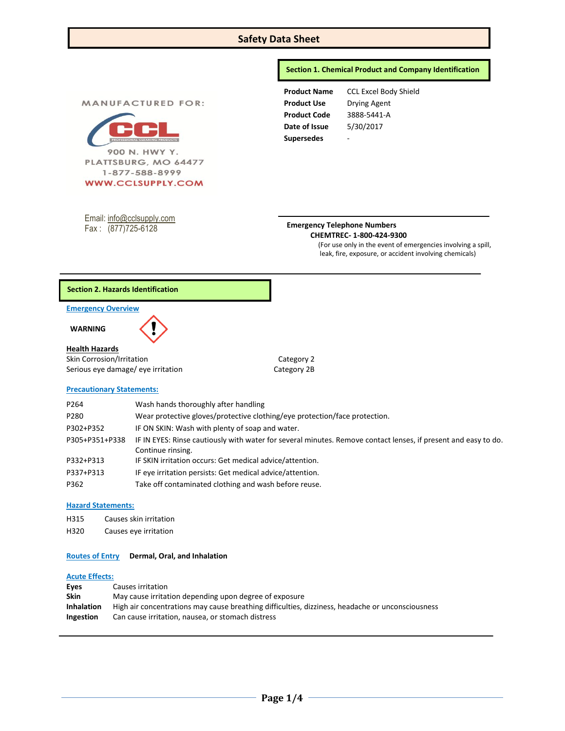# **Safety Data Sheet**

## **Section 1. Chemical Product and Company Identification**

**MANUFACTURED FOR:** 



Email: [info@cclsupply.com](mailto:info@cclsupply.com) Fax : (877)725-6128

**Supersedes** -

**Product Name** CCL Excel Body Shield **Product Use** Drying Agent **Product Code** 3888-5441-A **Date of Issue** 5/30/2017

### **Emergency Telephone Numbers CHEMTREC- 1-800-424-9300**

(For use only in the event of emergencies involving a spill, leak, fire, exposure, or accident involving chemicals)

## **Section 2. Hazards Identification**

#### **Emergency Overview**

 **WARNING** 

## **Health Hazards**

Skin Corrosion/Irritation Category 2 Serious eye damage/ eye irritation Category 2B

#### **Precautionary Statements:**

| P264           | Wash hands thoroughly after handling                                                                                                |
|----------------|-------------------------------------------------------------------------------------------------------------------------------------|
| P280           | Wear protective gloves/protective clothing/eye protection/face protection.                                                          |
| P302+P352      | IF ON SKIN: Wash with plenty of soap and water.                                                                                     |
| P305+P351+P338 | IF IN EYES: Rinse cautiously with water for several minutes. Remove contact lenses, if present and easy to do.<br>Continue rinsing. |
| P332+P313      | IF SKIN irritation occurs: Get medical advice/attention.                                                                            |
| P337+P313      | IF eye irritation persists: Get medical advice/attention.                                                                           |
| P362           | Take off contaminated clothing and wash before reuse.                                                                               |

## **Hazard Statements:**

- H315 Causes skin irritation
- H320 Causes eye irritation

### **Routes of Entry Dermal, Oral, and Inhalation**

#### **Acute Effects:**

| Eves              | Causes irritation                                                                                |
|-------------------|--------------------------------------------------------------------------------------------------|
| <b>Skin</b>       | May cause irritation depending upon degree of exposure                                           |
| <b>Inhalation</b> | High air concentrations may cause breathing difficulties, dizziness, headache or unconsciousness |
| Ingestion         | Can cause irritation, nausea, or stomach distress                                                |
|                   |                                                                                                  |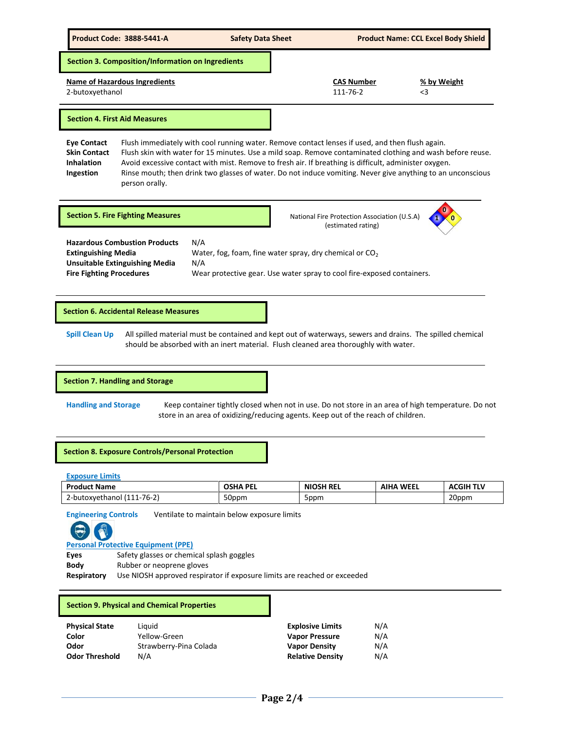

# **Section 7. Handling and Storage**

**Handling and Storage** Keep container tightly closed when not in use. Do not store in an area of high temperature. Do not store in an area of oxidizing/reducing agents. Keep out of the reach of children.

## **Section 8. Exposure Controls/Personal Protection**

|  | <b>Exposure Limits</b> |  |
|--|------------------------|--|
|--|------------------------|--|

| <b>Product Name</b>        | <b>OSHA PEL</b> | <b>NIOSH REL</b> | <b>AIHA WEEL</b> | <b>ACGIH TLV</b> |
|----------------------------|-----------------|------------------|------------------|------------------|
| 2-butoxyethanol (111-76-2) | 50ppm           | 5ppm             |                  | 20ppm            |

**Engineering Controls** Ventilate to maintain below exposure limits



## **Personal Protective Equipment (PPE)**

Eyes Safety glasses or chemical splash goggles **Body** Rubber or neoprene gloves

**Respiratory** Use NIOSH approved respirator if exposure limits are reached or exceeded

## **Section 9. Physical and Chemical Properties**

| <b>Physical State</b> | Liauid                 | <b>Explosive Limits</b> | N/A |
|-----------------------|------------------------|-------------------------|-----|
| Color                 | Yellow-Green           | <b>Vapor Pressure</b>   | N/A |
| Odor                  | Strawberry-Pina Colada | <b>Vapor Density</b>    | N/A |
| <b>Odor Threshold</b> | N/A                    | <b>Relative Density</b> | N/A |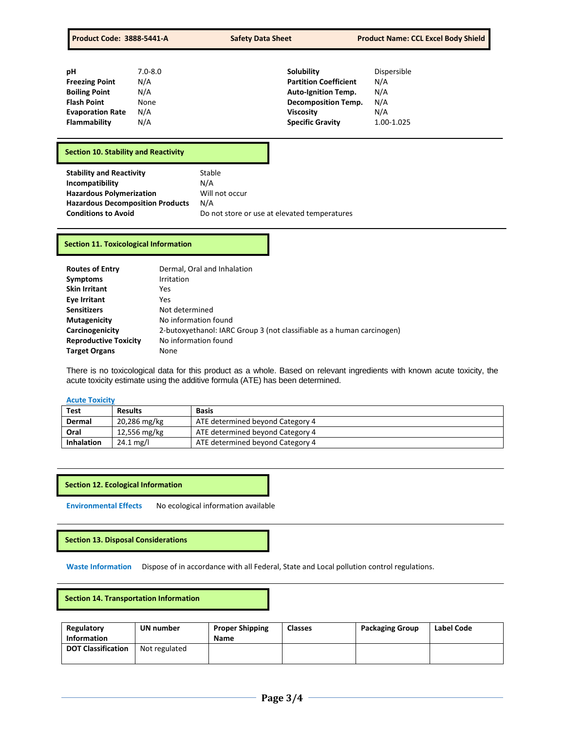| рH                      | $7.0 - 8.0$ | Solubility                   | Dispersible |
|-------------------------|-------------|------------------------------|-------------|
| <b>Freezing Point</b>   | N/A         | <b>Partition Coefficient</b> | N/A         |
| <b>Boiling Point</b>    | N/A         | <b>Auto-Ignition Temp.</b>   | N/A         |
| <b>Flash Point</b>      | None        | <b>Decomposition Temp.</b>   | N/A         |
| <b>Evaporation Rate</b> | N/A         | Viscosity                    | N/A         |
| <b>Flammability</b>     | N/A         | <b>Specific Gravity</b>      | 1.00-1.025  |

# **Section 10. Stability and Reactivity**

## **Section 11. Toxicological Information**

| <b>Routes of Entry</b>       | Dermal, Oral and Inhalation                                            |
|------------------------------|------------------------------------------------------------------------|
| <b>Symptoms</b>              | Irritation                                                             |
| <b>Skin Irritant</b>         | Yes                                                                    |
| Eye Irritant                 | Yes                                                                    |
| <b>Sensitizers</b>           | Not determined                                                         |
| <b>Mutagenicity</b>          | No information found                                                   |
| Carcinogenicity              | 2-butoxyethanol: IARC Group 3 (not classifiable as a human carcinogen) |
| <b>Reproductive Toxicity</b> | No information found                                                   |
| <b>Target Organs</b>         | None                                                                   |

There is no toxicological data for this product as a whole. Based on relevant ingredients with known acute toxicity, the acute toxicity estimate using the additive formula (ATE) has been determined.

# **Acute Toxicity**

| Test              | <b>Results</b>         | <b>Basis</b>                     |
|-------------------|------------------------|----------------------------------|
| Dermal            | 20,286 mg/kg           | ATE determined beyond Category 4 |
| Oral              | 12,556 mg/kg           | ATE determined beyond Category 4 |
| <b>Inhalation</b> | $24.1 \,\mathrm{mg/l}$ | ATE determined beyond Category 4 |

**Section 12. Ecological Information**

**Environmental Effects** No ecological information available

**Section 13. Disposal Considerations** 

**Waste Information** Dispose of in accordance with all Federal, State and Local pollution control regulations.

 **Section 14. Transportation Information** 

| Regulatory                | UN number     | <b>Proper Shipping</b> | <b>Classes</b> | <b>Packaging Group</b> | Label Code |
|---------------------------|---------------|------------------------|----------------|------------------------|------------|
| <b>Information</b>        |               | <b>Name</b>            |                |                        |            |
| <b>DOT Classification</b> | Not regulated |                        |                |                        |            |
|                           |               |                        |                |                        |            |